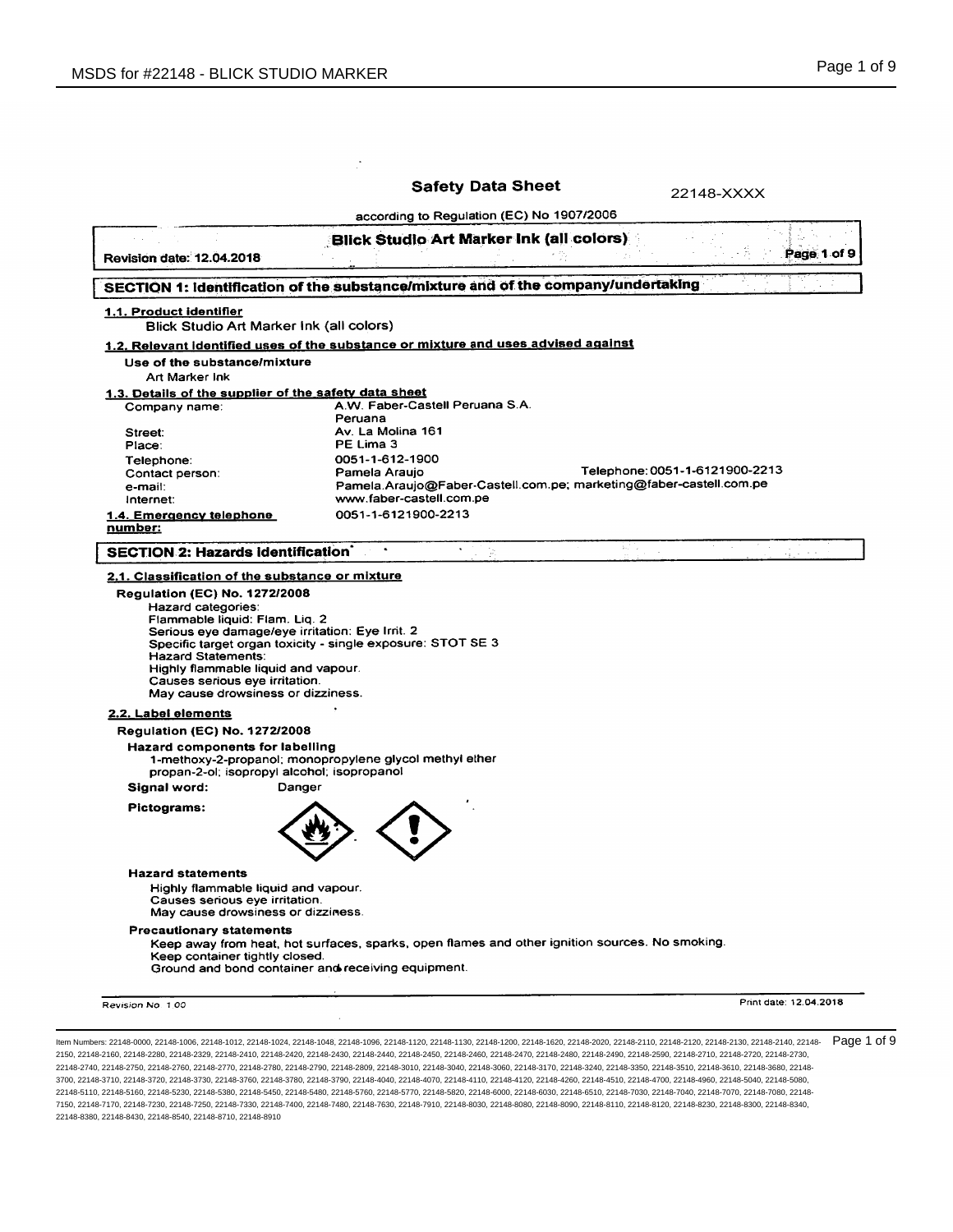of 9

| <b>Revision date: 12.04.2018</b><br>SECTION 1: Identification of the substance/mixture and of the company/undertaking<br>1.1. Product identifier<br><b>Blick Studio Art Marker Ink (all colors)</b><br>1.2. Relevant identified uses of the substance or mixture and uses advised against<br>Use of the substance/mixture<br>Art Marker Ink<br>1.3. Details of the supplier of the safety data sheet<br>Company name:<br>Peruana<br>Street:<br>PE Lima 3<br>Place:<br>Telephone:<br>Contact person:<br>e-mail:<br>Internet:<br>1.4. Emergency telephone<br><u>number:</u><br>SECTION 2: Hazards identification<br>2.1. Classification of the substance or mixture<br><b>Regulation (EC) No. 1272/2008</b><br>Hazard categories:<br>Flammable liquid: Flam. Liq. 2<br>Serious eye damage/eye irritation: Eye Irrit. 2<br>Specific target organ toxicity - single exposure: STOT SE 3<br><b>Hazard Statements:</b> | according to Regulation (EC) No 1907/2006<br><b>Blick Studio Art Marker Ink (all colors)</b><br>A.W. Faber-Castell Peruana S.A.<br>Av. La Molina 161<br>0051-1-612-1900<br>Pamela Araujo<br>Pamela.Araujo@Faber-Castell.com.pe; marketing@faber-castell.com.pe<br>www.faber-castell.com.pe<br>0051-1-6121900-2213 | sil si | Page 1 of 9<br>Telephone: 0051-1-6121900-2213 |
|------------------------------------------------------------------------------------------------------------------------------------------------------------------------------------------------------------------------------------------------------------------------------------------------------------------------------------------------------------------------------------------------------------------------------------------------------------------------------------------------------------------------------------------------------------------------------------------------------------------------------------------------------------------------------------------------------------------------------------------------------------------------------------------------------------------------------------------------------------------------------------------------------------------|-------------------------------------------------------------------------------------------------------------------------------------------------------------------------------------------------------------------------------------------------------------------------------------------------------------------|--------|-----------------------------------------------|
|                                                                                                                                                                                                                                                                                                                                                                                                                                                                                                                                                                                                                                                                                                                                                                                                                                                                                                                  |                                                                                                                                                                                                                                                                                                                   |        |                                               |
|                                                                                                                                                                                                                                                                                                                                                                                                                                                                                                                                                                                                                                                                                                                                                                                                                                                                                                                  |                                                                                                                                                                                                                                                                                                                   |        |                                               |
|                                                                                                                                                                                                                                                                                                                                                                                                                                                                                                                                                                                                                                                                                                                                                                                                                                                                                                                  |                                                                                                                                                                                                                                                                                                                   |        |                                               |
|                                                                                                                                                                                                                                                                                                                                                                                                                                                                                                                                                                                                                                                                                                                                                                                                                                                                                                                  |                                                                                                                                                                                                                                                                                                                   |        |                                               |
|                                                                                                                                                                                                                                                                                                                                                                                                                                                                                                                                                                                                                                                                                                                                                                                                                                                                                                                  |                                                                                                                                                                                                                                                                                                                   |        |                                               |
|                                                                                                                                                                                                                                                                                                                                                                                                                                                                                                                                                                                                                                                                                                                                                                                                                                                                                                                  |                                                                                                                                                                                                                                                                                                                   |        |                                               |
|                                                                                                                                                                                                                                                                                                                                                                                                                                                                                                                                                                                                                                                                                                                                                                                                                                                                                                                  |                                                                                                                                                                                                                                                                                                                   |        |                                               |
|                                                                                                                                                                                                                                                                                                                                                                                                                                                                                                                                                                                                                                                                                                                                                                                                                                                                                                                  |                                                                                                                                                                                                                                                                                                                   |        |                                               |
|                                                                                                                                                                                                                                                                                                                                                                                                                                                                                                                                                                                                                                                                                                                                                                                                                                                                                                                  |                                                                                                                                                                                                                                                                                                                   |        |                                               |
|                                                                                                                                                                                                                                                                                                                                                                                                                                                                                                                                                                                                                                                                                                                                                                                                                                                                                                                  |                                                                                                                                                                                                                                                                                                                   |        |                                               |
|                                                                                                                                                                                                                                                                                                                                                                                                                                                                                                                                                                                                                                                                                                                                                                                                                                                                                                                  |                                                                                                                                                                                                                                                                                                                   |        |                                               |
|                                                                                                                                                                                                                                                                                                                                                                                                                                                                                                                                                                                                                                                                                                                                                                                                                                                                                                                  |                                                                                                                                                                                                                                                                                                                   |        |                                               |
|                                                                                                                                                                                                                                                                                                                                                                                                                                                                                                                                                                                                                                                                                                                                                                                                                                                                                                                  |                                                                                                                                                                                                                                                                                                                   |        |                                               |
|                                                                                                                                                                                                                                                                                                                                                                                                                                                                                                                                                                                                                                                                                                                                                                                                                                                                                                                  |                                                                                                                                                                                                                                                                                                                   |        |                                               |
|                                                                                                                                                                                                                                                                                                                                                                                                                                                                                                                                                                                                                                                                                                                                                                                                                                                                                                                  |                                                                                                                                                                                                                                                                                                                   |        |                                               |
|                                                                                                                                                                                                                                                                                                                                                                                                                                                                                                                                                                                                                                                                                                                                                                                                                                                                                                                  |                                                                                                                                                                                                                                                                                                                   |        |                                               |
| Highly flammable liquid and vapour.<br>Causes serious eye irritation.<br>May cause drowsiness or dizziness.<br>2.2. Label elements<br><b>Regulation (EC) No. 1272/2008</b><br>Hazard components for labelling<br>1-methoxy-2-propanol; monopropylene glycol methyl ether                                                                                                                                                                                                                                                                                                                                                                                                                                                                                                                                                                                                                                         |                                                                                                                                                                                                                                                                                                                   |        |                                               |
| propan-2-ol; isopropyl alcohol; isopropanol                                                                                                                                                                                                                                                                                                                                                                                                                                                                                                                                                                                                                                                                                                                                                                                                                                                                      |                                                                                                                                                                                                                                                                                                                   |        |                                               |
| Signal word:<br>Danger                                                                                                                                                                                                                                                                                                                                                                                                                                                                                                                                                                                                                                                                                                                                                                                                                                                                                           |                                                                                                                                                                                                                                                                                                                   |        |                                               |
| Pictograms:                                                                                                                                                                                                                                                                                                                                                                                                                                                                                                                                                                                                                                                                                                                                                                                                                                                                                                      |                                                                                                                                                                                                                                                                                                                   |        |                                               |
| <b>Hazard statements</b><br>Highly flammable liquid and vapour.<br>Causes serious eye irritation.<br>May cause drowsiness or dizziness.                                                                                                                                                                                                                                                                                                                                                                                                                                                                                                                                                                                                                                                                                                                                                                          |                                                                                                                                                                                                                                                                                                                   |        |                                               |
| <b>Precautionary statements</b><br>Keep away from heat, hot surfaces, sparks, open flames and other ignition sources. No smoking.<br>Keep container tightly closed.<br>Ground and bond container and receiving equipment.                                                                                                                                                                                                                                                                                                                                                                                                                                                                                                                                                                                                                                                                                        |                                                                                                                                                                                                                                                                                                                   |        |                                               |
| Revision No. 1.00                                                                                                                                                                                                                                                                                                                                                                                                                                                                                                                                                                                                                                                                                                                                                                                                                                                                                                |                                                                                                                                                                                                                                                                                                                   |        |                                               |
|                                                                                                                                                                                                                                                                                                                                                                                                                                                                                                                                                                                                                                                                                                                                                                                                                                                                                                                  |                                                                                                                                                                                                                                                                                                                   |        | Print date: 12.04.2018                        |

22148-2740, 22148-2750, 22148-2760, 22148-2770, 22148-2780, 22148-2790, 22148-2809, 22148-3010, 22148-3040, 22148-3060, 22148-3170, 22148-3240, 22148-3350, 22148-3510, 22148-3610, 22148-3680, 22148- 3700, 22148-3710, 22148-3720, 22148-3730, 22148-3760, 22148-3780, 22148-3790, 22148-4040, 22148-4070, 22148-4110, 22148-4120, 22148-4260, 22148-4510, 22148-4700, 22148-4960, 22148-5040, 22148-5080, 22148-5110, 22148-5160, 22148-5230, 22148-5380, 22148-5450, 22148-5480, 22148-5760, 22148-5770, 22148-5820, 22148-6000, 22148-6030, 22148-6510, 22148-7030, 22148-7040, 22148-7070, 22148-7080, 22148- 7150, 22148-7170, 22148-7230, 22148-7250, 22148-7330, 22148-7400, 22148-7480, 22148-7630, 22148-7910, 22148-8030, 22148-8080, 22148-8090, 22148-8110, 22148-8120, 22148-8230, 22148-8300, 22148-8340, 22148-8380, 22148-8430, 22148-8540, 22148-8710, 22148-8910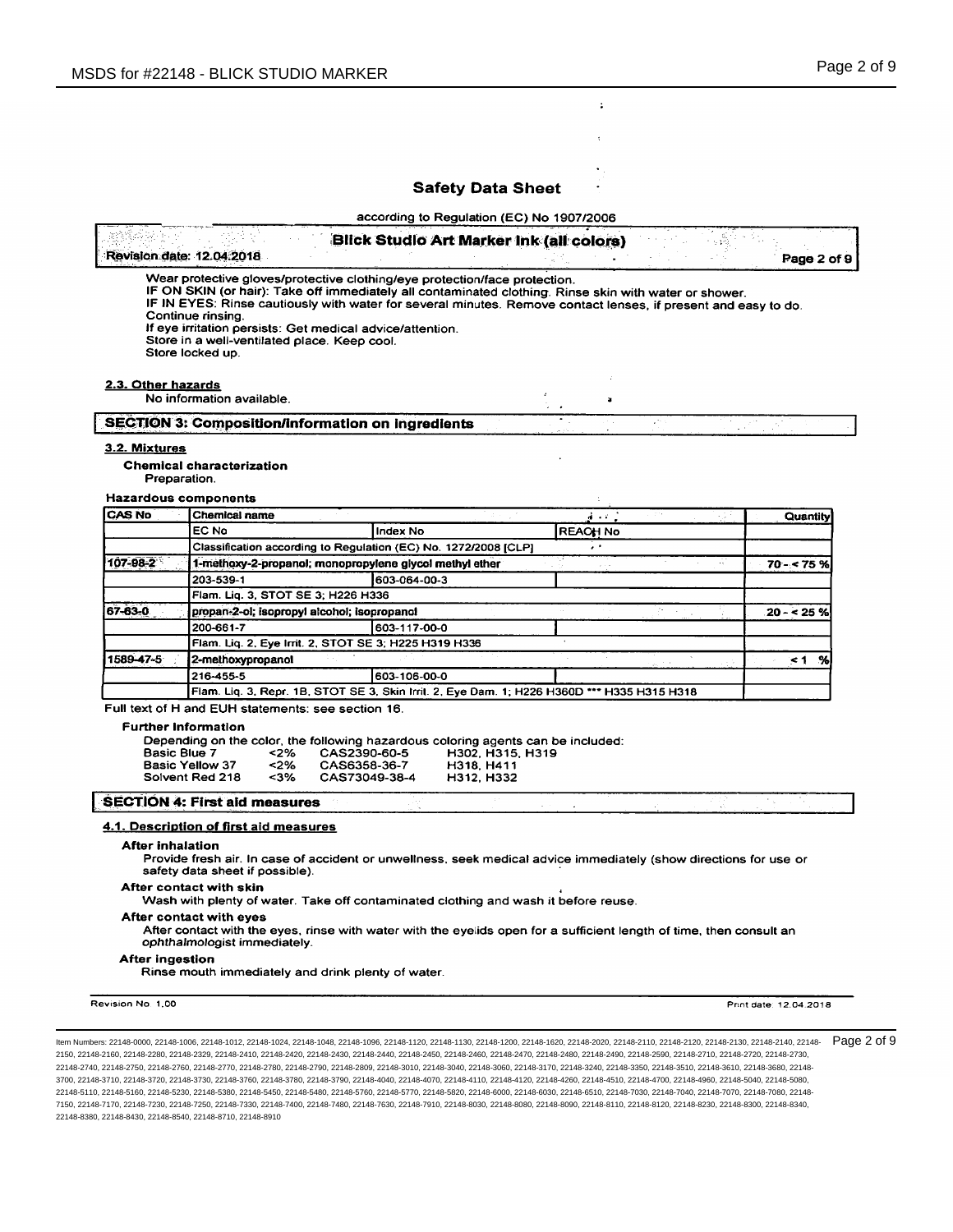$\ddot{\phantom{a}}$ 

 $\overline{\mathbf{t}}$ 

÷

according to Regulation (EC) No 1907/2006

|                               | Revision date: 12.04.2018                                                                                                                                                                                                                                                                                                                                                                                                                                    | Blick Studio Art Marker Ink (all colors)                                                      |                 |                                  |        |       | Page 2 of 9       |  |
|-------------------------------|--------------------------------------------------------------------------------------------------------------------------------------------------------------------------------------------------------------------------------------------------------------------------------------------------------------------------------------------------------------------------------------------------------------------------------------------------------------|-----------------------------------------------------------------------------------------------|-----------------|----------------------------------|--------|-------|-------------------|--|
|                               | Wear protective gloves/protective clothing/eye protection/face protection.<br>IF ON SKIN (or hair): Take off immediately all contaminated clothing. Rinse skin with water or shower.<br>IF IN EYES: Rinse cautiously with water for several minutes. Remove contact lenses, if present and easy to do.<br>Continue rinsing.<br>If eye irritation persists: Get medical advice/attention.<br>Store in a well-ventilated place. Keep cool.<br>Store locked up. |                                                                                               |                 |                                  |        |       |                   |  |
|                               |                                                                                                                                                                                                                                                                                                                                                                                                                                                              |                                                                                               |                 |                                  |        |       |                   |  |
| 2.3. Other hazards            | No information available.                                                                                                                                                                                                                                                                                                                                                                                                                                    |                                                                                               |                 | $\blacksquare$                   |        |       |                   |  |
|                               | <b>SECTION 3: Composition/information on ingredients</b>                                                                                                                                                                                                                                                                                                                                                                                                     |                                                                                               |                 |                                  | in the |       |                   |  |
| 3.2. Mixtures<br>Preparation. | Chemical characterization<br><b>Hazardous components</b>                                                                                                                                                                                                                                                                                                                                                                                                     |                                                                                               |                 |                                  |        |       |                   |  |
| CAS No                        | <b>Chemical name</b>                                                                                                                                                                                                                                                                                                                                                                                                                                         |                                                                                               |                 | $\frac{1}{2}$ and $\frac{1}{2}$  |        |       | <b>Quantity</b>   |  |
|                               | EC No                                                                                                                                                                                                                                                                                                                                                                                                                                                        | <b>Index No</b>                                                                               | <b>REACH No</b> |                                  |        |       |                   |  |
|                               | Classification according to Regulation (EC) No. 1272/2008 [CLP]                                                                                                                                                                                                                                                                                                                                                                                              |                                                                                               |                 | ÷.                               |        |       |                   |  |
| 107-98-2                      |                                                                                                                                                                                                                                                                                                                                                                                                                                                              |                                                                                               |                 | $\alpha$ , $\alpha$ , $\alpha$ , |        |       | $70 - 75%$        |  |
|                               | 1-methoxy-2-propanol; monopropylene glycol methyl ether<br>203-539-1<br>603-064-00-3                                                                                                                                                                                                                                                                                                                                                                         |                                                                                               |                 |                                  |        |       |                   |  |
|                               | Flam. Liq. 3, STOT SE 3; H226 H336                                                                                                                                                                                                                                                                                                                                                                                                                           |                                                                                               |                 |                                  |        |       |                   |  |
| 67-63-0                       | propan-2-ol; isopropyl alcohol; isopropanol                                                                                                                                                                                                                                                                                                                                                                                                                  |                                                                                               |                 |                                  |        |       | $20 - 25%$        |  |
|                               | 200-661-7                                                                                                                                                                                                                                                                                                                                                                                                                                                    | 603-117-00-0                                                                                  |                 |                                  |        |       |                   |  |
|                               | Flam. Lig. 2, Eye Irrit. 2, STOT SE 3; H225 H319 H336                                                                                                                                                                                                                                                                                                                                                                                                        |                                                                                               |                 |                                  |        |       |                   |  |
| 1589-47-5                     | 2-methoxypropanol                                                                                                                                                                                                                                                                                                                                                                                                                                            |                                                                                               |                 |                                  |        |       | <1 %              |  |
|                               | 216-455-5                                                                                                                                                                                                                                                                                                                                                                                                                                                    | 603-106-00-0                                                                                  |                 |                                  |        |       |                   |  |
|                               | Flam. Liq. 3, Repr. 1B, STOT SE 3, Skin Irrit. 2, Eye Dam. 1; H226 H360D *** H335 H315 H318                                                                                                                                                                                                                                                                                                                                                                  |                                                                                               |                 |                                  |        |       |                   |  |
|                               | Full text of H and EUH statements: see section 16.<br><b>Further Information</b><br>Depending on the color, the following hazardous coloring agents can be included:<br>Basic Blue 7<br><2%<br>Basic Yellow 37<br>< 2%<br>Solvent Red 218<br>$3%$                                                                                                                                                                                                            | CAS2390-60-5<br>H302, H315, H319<br>CAS6358-36-7<br>H318, H411<br>CAS73049-38-4<br>H312, H332 |                 |                                  |        |       |                   |  |
|                               | <b>SECTION 4: First aid measures</b>                                                                                                                                                                                                                                                                                                                                                                                                                         |                                                                                               |                 |                                  |        | -2012 | $\gamma_{\rm{B}}$ |  |
|                               | 4.1. Description of first aid measures                                                                                                                                                                                                                                                                                                                                                                                                                       |                                                                                               |                 |                                  |        |       |                   |  |
| After inhalation              | Provide fresh air. In case of accident or unwellness, seek medical advice immediately (show directions for use or<br>safety data sheet if possible).                                                                                                                                                                                                                                                                                                         |                                                                                               |                 |                                  |        |       |                   |  |
|                               | After contact with skin<br>Wash with plenty of water. Take off contaminated clothing and wash it before reuse.                                                                                                                                                                                                                                                                                                                                               |                                                                                               |                 |                                  |        |       |                   |  |
|                               | After contact with eyes<br>After contact with the eyes, rinse with water with the eyelids open for a sufficient length of time, then consult an                                                                                                                                                                                                                                                                                                              |                                                                                               |                 |                                  |        |       |                   |  |
|                               | ophthalmologist immediately.                                                                                                                                                                                                                                                                                                                                                                                                                                 |                                                                                               |                 |                                  |        |       |                   |  |

Revision No. 1,00

Print date: 12.04.2018

ltem Numbers: 22148-0000, 22148-1006, 22148-1012, 22148-1024, 22148-1048, 22148-1096, 22148-1120, 22148-1130, 22148-1600, 22148-1620, 22148-200, 22148-2120, 22148-2120, 22148-2130, 22148-2130, 22148-2140, 22148-2130, 22148 2150, 22148-2160, 22148-2280, 22148-2329, 22148-2410, 22148-2420, 22148-2430, 22148-2440, 22148-2450, 22148-2460, 22148-2470, 22148-2480, 22148-2490, 22148-2590, 22148-2710, 22148-2720, 22148-2730, 22148-2740, 22148-2750, 22148-2760, 22148-2770, 22148-2780, 22148-2790, 22148-2809, 22148-3010, 22148-3040, 22148-3060, 22148-3170, 22148-3240, 22148-3350, 22148-3510, 22148-3610, 22148-3680, 22148- 3700, 22148-3710, 22148-3720, 22148-3730, 22148-3760, 22148-3780, 22148-3790, 22148-4040, 22148-4070, 22148-4110, 22148-4120, 22148-4260, 22148-4510, 22148-4700, 22148-4960, 22148-5040, 22148-5080, 22148-5110, 22148-5160, 22148-5230, 22148-5380, 22148-5450, 22148-5480, 22148-5760, 22148-5770, 22148-5820, 22148-6000, 22148-6030, 22148-6510, 22148-7030, 22148-7040, 22148-7070, 22148-7080, 22148- 7150, 22148-7170, 22148-7230, 22148-7250, 22148-7330, 22148-7400, 22148-7480, 22148-7630, 22148-7910, 22148-8030, 22148-8080, 22148-8090, 22148-8110, 22148-8120, 22148-8230, 22148-8300, 22148-8340, 22148-8380, 22148-8430, 22148-8540, 22148-8710, 22148-8910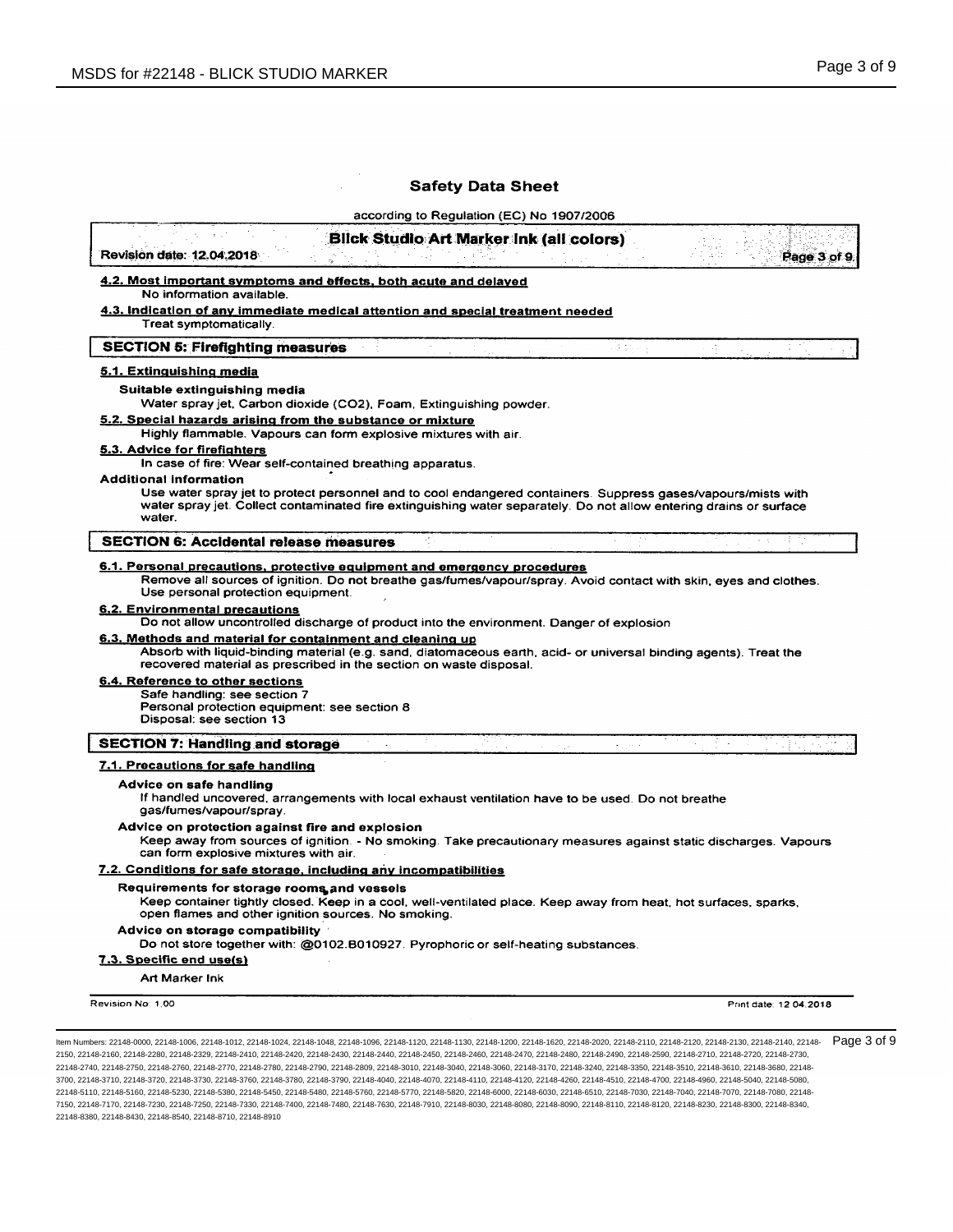$\bar{z}$ 

# **Safety Data Sheet**

according to Regulation (EC) No. 1907/2006

|                                                                                                                                                                                                                                    | <u>4.2. Most important symptoms and effects, both acute and delayed</u>                                                                                                                                                             |              |        |
|------------------------------------------------------------------------------------------------------------------------------------------------------------------------------------------------------------------------------------|-------------------------------------------------------------------------------------------------------------------------------------------------------------------------------------------------------------------------------------|--------------|--------|
| No information available.                                                                                                                                                                                                          |                                                                                                                                                                                                                                     |              |        |
| Treat symptomatically.                                                                                                                                                                                                             | <u>4.3. Indication of any immediate medical attention and special treatment needed</u>                                                                                                                                              |              |        |
| <b>SECTION 5: Firefighting measures</b>                                                                                                                                                                                            |                                                                                                                                                                                                                                     | vis pr       |        |
| 5.1. Extinguishing media                                                                                                                                                                                                           |                                                                                                                                                                                                                                     |              |        |
| Suitable extinguishing media                                                                                                                                                                                                       |                                                                                                                                                                                                                                     |              |        |
| 5.2. Special hazards arising from the substance or mixture                                                                                                                                                                         | Water spray jet, Carbon dioxide (CO2), Foam, Extinguishing powder.                                                                                                                                                                  |              |        |
|                                                                                                                                                                                                                                    | Highly flammable. Vapours can form explosive mixtures with air.                                                                                                                                                                     |              |        |
| 5.3. Advice for firefighters                                                                                                                                                                                                       | In case of fire: Wear self-contained breathing apparatus.                                                                                                                                                                           |              |        |
| <b>Additional information</b><br>water.                                                                                                                                                                                            | Use water spray jet to protect personnel and to cool endangered containers. Suppress gases/vapours/mists with<br>water spray jet. Collect contaminated fire extinguishing water separately. Do not allow entering drains or surface |              |        |
| <b>SECTION 6: Accidental release measures</b>                                                                                                                                                                                      |                                                                                                                                                                                                                                     |              |        |
| Use personal protection equipment.                                                                                                                                                                                                 | 6.1. Personal precautions, protective equipment and emergency procedures<br>Remove all sources of ignition. Do not breathe gas/fumes/vapour/spray. Avoid contact with skin, eyes and clothes.                                       |              |        |
| 6.2. Environmental precautions                                                                                                                                                                                                     | Do not allow uncontrolled discharge of product into the environment. Danger of explosion                                                                                                                                            |              |        |
|                                                                                                                                                                                                                                    |                                                                                                                                                                                                                                     |              |        |
|                                                                                                                                                                                                                                    | Absorb with liquid-binding material (e.g. sand, diatomaceous earth, acid- or universal binding agents). Treat the<br>recovered material as prescribed in the section on waste disposal.                                             |              |        |
| Safe handling: see section 7<br>Personal protection equipment: see section 8<br>Disposal: see section 13                                                                                                                           |                                                                                                                                                                                                                                     |              |        |
|                                                                                                                                                                                                                                    |                                                                                                                                                                                                                                     | and the con- | $\sim$ |
|                                                                                                                                                                                                                                    |                                                                                                                                                                                                                                     |              |        |
| Advice on safe handling<br>gas/fumes/vapour/spray.                                                                                                                                                                                 | If handled uncovered, arrangements with local exhaust ventilation have to be used. Do not breathe                                                                                                                                   |              |        |
| Advice on protection against fire and explosion<br>can form explosive mixtures with air.                                                                                                                                           | Keep away from sources of ignition. - No smoking. Take precautionary measures against static discharges. Vapours                                                                                                                    |              |        |
|                                                                                                                                                                                                                                    | 7.2. Conditions for safe storage, including any incompatibilities                                                                                                                                                                   |              |        |
| Requirements for storage rooms and vessels                                                                                                                                                                                         | Keep container tightly closed. Keep in a cool, well-ventilated place. Keep away from heat, hot surfaces, sparks,<br>open flames and other ignition sources. No smoking.                                                             |              |        |
| Advice on storage compatibility $\,$                                                                                                                                                                                               |                                                                                                                                                                                                                                     |              |        |
|                                                                                                                                                                                                                                    | Do not store together with: @0102.B010927. Pyrophoric or self-heating substances.                                                                                                                                                   |              |        |
| <u>6.3. Methods and material for containment and cleaning up</u><br>6.4. Reference to other sections<br><b>SECTION 7: Handling and storage</b><br>7.1. Precautions for safe handling<br>7.3. Specific end use(s)<br>Art Marker Ink |                                                                                                                                                                                                                                     |              |        |

2150, 22148-2160, 22148-2280, 22148-2329, 22148-2410, 22148-2420, 22148-2430, 22148-2440, 22148-2450, 22148-2460, 22148-2470, 22148-2480, 22148-2490, 22148-2590, 22148-2710, 22148-2720, 22148-2730, 22148-2740, 22148-2750, 22148-2760, 22148-2770, 22148-2780, 22148-2790, 22148-2809, 22148-3010, 22148-3040, 22148-3060, 22148-3170, 22148-3240, 22148-3350, 22148-3510, 22148-3610, 22148-3680, 22148- 3700, 22148-3710, 22148-3720, 22148-3730, 22148-3760, 22148-3780, 22148-3790, 22148-4040, 22148-4070, 22148-4110, 22148-4120, 22148-4260, 22148-4510, 22148-4700, 22148-4960, 22148-5040, 22148-5080, 22148-5110, 22148-5160, 22148-5230, 22148-5380, 22148-5450, 22148-5480, 22148-5760, 22148-5770, 22148-5820, 22148-6000, 22148-6030, 22148-6510, 22148-7030, 22148-7040, 22148-7070, 22148-7080, 22148- 7150, 22148-7170, 22148-7230, 22148-7250, 22148-7330, 22148-7400, 22148-7480, 22148-7630, 22148-7910, 22148-8030, 22148-8080, 22148-8090, 22148-8110, 22148-8120, 22148-8230, 22148-8300, 22148-8340, 22148-8380, 22148-8430, 22148-8540, 22148-8710, 22148-8910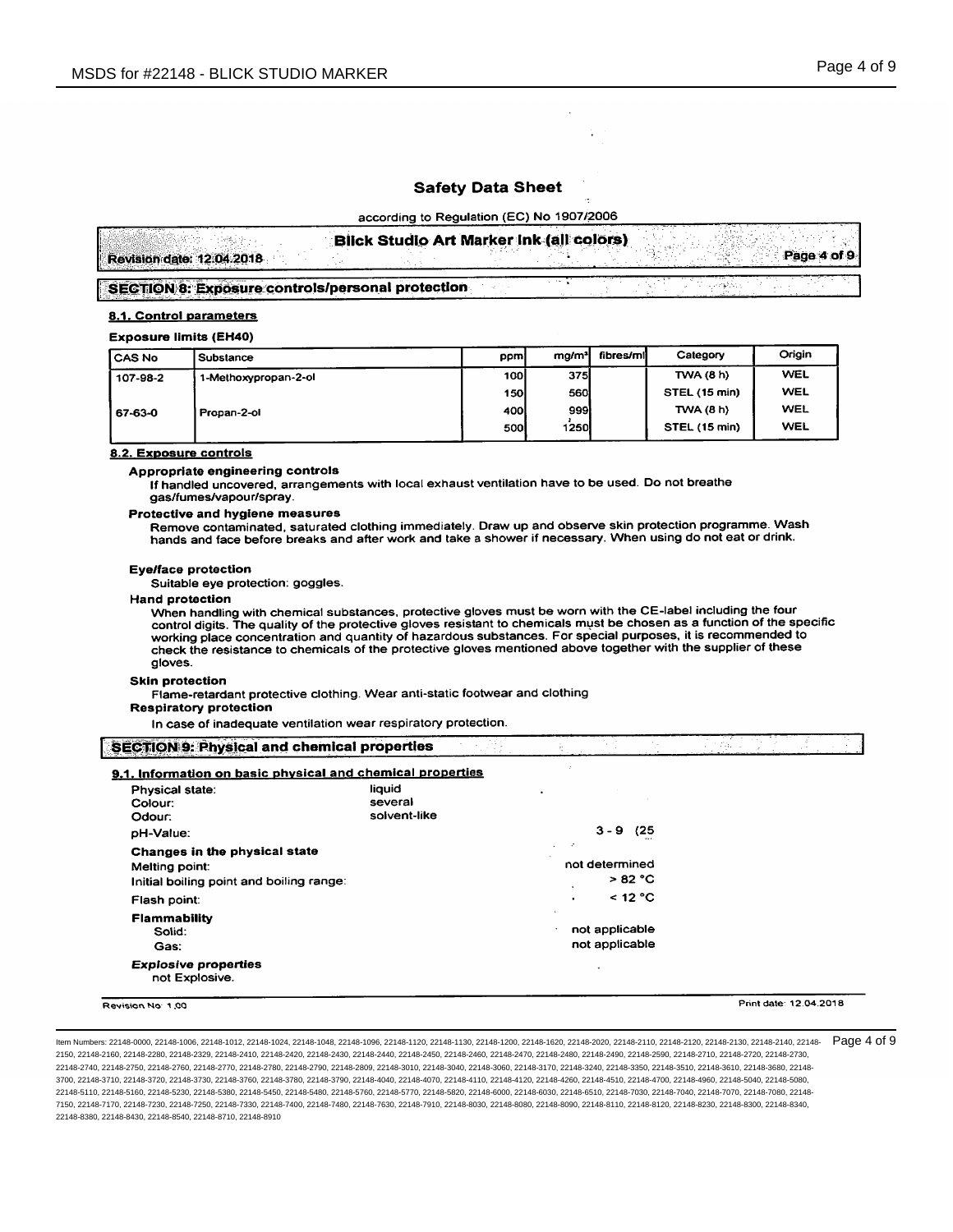according to Regulation (EC) No 1907/2006

|                                                         | <b>Blick Studio Art Marker Ink (all colors)</b> |  |             |
|---------------------------------------------------------|-------------------------------------------------|--|-------------|
| Revision date: 12.04.2018                               |                                                 |  | Page 4 of 9 |
| <b>SECTION 8: Exposure controls/personal protection</b> |                                                 |  |             |

### 8.1. Control parameters

#### **Exposure limits (EH40)**

| l CAS No | Substance            | ppm         | mg/m <sup>3</sup> | fibres/mil | Category         | Origin     |
|----------|----------------------|-------------|-------------------|------------|------------------|------------|
| 107-98-2 | 1-Methoxypropan-2-ol | <b>100l</b> | <b>375</b>        |            | <b>TWA (8 h)</b> | <b>WEL</b> |
|          |                      | 150l        | <b>560l</b>       |            | STEL (15 min)    | <b>WEL</b> |
| 67-63-0  | Propan-2-ol          | 400I        | 9991              |            | TWA(8 h)         | WEL        |
|          |                      | 500         | 1250              |            | STEL (15 min)    | <b>WEL</b> |

### 8.2. Exposure controls

### Appropriate engineering controls

If handled uncovered, arrangements with local exhaust ventilation have to be used. Do not breathe gas/fumes/vapour/spray.

### Protective and hygiene measures

Remove contaminated, saturated clothing immediately. Draw up and observe skin protection programme. Wash hands and face before breaks and after work and take a shower if necessary. When using do not eat or drink.

#### **Eye/face protection**

Suitable eye protection: goggles.

#### **Hand protection**

When handling with chemical substances, protective gloves must be worn with the CE-label including the four control digits. The quality of the protective gloves resistant to chemicals must be chosen as a function of the specific working place concentration and quantity of hazardous substances. For special purposes, it is recommended to check the resistance to chemicals of the protective gloves mentioned above together with the supplier of these gloves.

#### **Skin protection**

Flame-retardant protective clothing. Wear anti-static footwear and clothing

### **Respiratory protection**

In case of inadequate ventilation wear respiratory protection.

| SECTION 9: Physical and chemical properties |  |
|---------------------------------------------|--|
|                                             |  |
|                                             |  |
|                                             |  |
|                                             |  |
|                                             |  |
|                                             |  |
|                                             |  |
|                                             |  |

# 9.1. Information on basic physical and chemical properties

| Physical state:<br>Colour:<br>Odour:                                                        | liauid<br>٠<br>several<br>solvent-like          |
|---------------------------------------------------------------------------------------------|-------------------------------------------------|
| pH-Value:                                                                                   | $3 - 9$<br>(25                                  |
| Changes in the physical state<br>Melting point:<br>Initial boiling point and boiling range: | - 2<br>$\cdot$<br>not determined<br>>82 °C<br>٠ |
| Flash point:                                                                                | $<$ 12 °C<br>$\bullet$                          |
| <b>Flammability</b><br>Solid:<br>Gas:                                                       | ×.<br>not applicable<br>٠<br>not applicable     |
| <b>Explosive properties</b><br>not Explosive.                                               |                                                 |

Revision No. 1.00

Print date: 12.04.2018

Item Numbers: 22148-0000, 22148-1006, 22148-1012, 22148-1024, 22148-1048, 22148-1096, 22148-1120, 22148-1130, 22148-1000, 22148-1620, 22148-200, 22148-2110, 22148-2120, 22148-2120, 22148-2120, 22148-2130, 22148-2130, 22148 2150, 22148-2160, 22148-2280, 22148-2329, 22148-2410, 22148-2420, 22148-2430, 22148-2440, 22148-2450, 22148-2460, 22148-2470, 22148-2480, 22148-2490, 22148-2590, 22148-2590, 22148-2590, 22148-2710, 22148-2720, 22148-2710, 2 22148-2740, 22148-2750, 22148-2760, 22148-2770, 22148-2780, 22148-2790, 22148-2809, 22148-3010, 22148-3040, 22148-300, 22148-3170, 22148-3240, 22148-3350, 22148-3510, 22148-3610, 22148-3610, 22148-3610, 22148-380, 22148-351 3700, 22148-3710, 22148-3720, 22148-3730, 22148-3760, 22148-3780, 22148-3790, 22148-4040, 22148-4070, 22148-4110, 22148-4120, 22148-4260, 22148-4510, 22148-4700, 22148-4700, 22148-470, 22148-4960, 22148-4960, 22148-490, 221 22148-5110, 22148-5160, 22148-5280, 22148-5380, 22148-5450, 22148-5480, 22148-5760, 22148-5770, 22148-580, 22148-6030, 22148-6030, 22148-6510, 22148-7030, 22148-7040, 22148-7070, 22148-7070, 22148-7080, 22148-7080, 22148-70 7150, 22148-7170, 22148-7230, 22148-7250, 22148-7330, 22148-7400, 22148-7480, 22148-7630, 22148-7910, 22148-8030, 22148-8080, 22148-8090, 22148-8110, 22148-810, 22148-8230, 22148-8230, 22148-8230, 22148-8230, 22148-8230, 22 22148-8380, 22148-8430, 22148-8540, 22148-8710, 22148-8910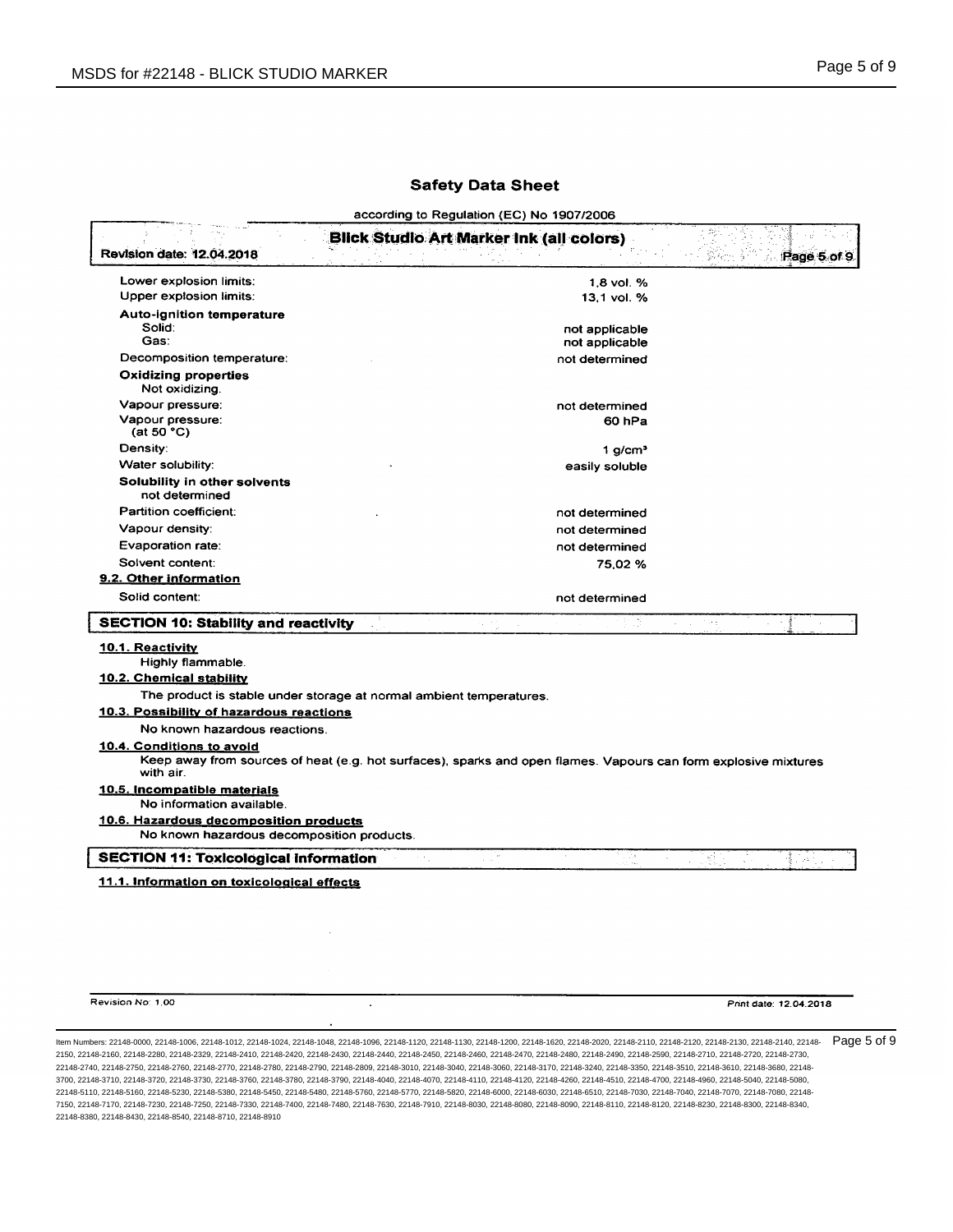according to Regulation (EC) No 1907/2006

| Lower explosion limits:<br>1.8 vol. %<br>Upper explosion limits:<br>13.1 vol. %<br>Auto-ignition temperature<br>Solid:<br>not applicable<br>Gas:<br>not applicable<br>Decomposition temperature:<br>not determined<br><b>Oxidizing properties</b><br>Not oxidizing.<br>Vapour pressure:<br>not determined<br>Vapour pressure:<br>60 <sub>hPa</sub><br>(at 50 °C)<br>Density:<br>$1$ g/cm <sup>3</sup><br>Water solubility:<br>easily soluble<br>Solubility in other solvents<br>not determined<br>Partition coefficient:<br>not determined<br>Vapour density:<br>not determined<br>Evaporation rate:<br>not determined<br>Solvent content:<br>75.02%<br>9.2. Other information<br>Solid content:<br>not determined<br><b>SECTION 10: Stability and reactivity</b><br>Total.<br>10.1. Reactivity<br>Highly flammable.<br><b>10.2. Chemical stability</b><br>The product is stable under storage at normal ambient temperatures.<br>10.3. Possibility of hazardous reactions<br>No known hazardous reactions.<br>10.4. Conditions to avoid<br>Keep away from sources of heat (e.g. hot surfaces), sparks and open flames. Vapours can form explosive mixtures<br>with air.<br>10.5. Incompatible materials<br>No information available.<br>10.6. Hazardous decomposition products<br>No known hazardous decomposition products.<br><b>SECTION 11: Toxicological information</b><br>$\mathbb{Z}[\mathbb{Z}^2]$<br>ДX.<br>См<br>慰<br>좋아요<br>115 | Revision date: 12.04.2018                  | <b>Blick Studio Art Marker Ink (all colors)</b> | Page 5 of 9 |
|---------------------------------------------------------------------------------------------------------------------------------------------------------------------------------------------------------------------------------------------------------------------------------------------------------------------------------------------------------------------------------------------------------------------------------------------------------------------------------------------------------------------------------------------------------------------------------------------------------------------------------------------------------------------------------------------------------------------------------------------------------------------------------------------------------------------------------------------------------------------------------------------------------------------------------------------------------------------------------------------------------------------------------------------------------------------------------------------------------------------------------------------------------------------------------------------------------------------------------------------------------------------------------------------------------------------------------------------------------------------------------------------------------------------------------------------|--------------------------------------------|-------------------------------------------------|-------------|
|                                                                                                                                                                                                                                                                                                                                                                                                                                                                                                                                                                                                                                                                                                                                                                                                                                                                                                                                                                                                                                                                                                                                                                                                                                                                                                                                                                                                                                             |                                            |                                                 |             |
|                                                                                                                                                                                                                                                                                                                                                                                                                                                                                                                                                                                                                                                                                                                                                                                                                                                                                                                                                                                                                                                                                                                                                                                                                                                                                                                                                                                                                                             |                                            |                                                 |             |
|                                                                                                                                                                                                                                                                                                                                                                                                                                                                                                                                                                                                                                                                                                                                                                                                                                                                                                                                                                                                                                                                                                                                                                                                                                                                                                                                                                                                                                             |                                            |                                                 |             |
|                                                                                                                                                                                                                                                                                                                                                                                                                                                                                                                                                                                                                                                                                                                                                                                                                                                                                                                                                                                                                                                                                                                                                                                                                                                                                                                                                                                                                                             |                                            |                                                 |             |
|                                                                                                                                                                                                                                                                                                                                                                                                                                                                                                                                                                                                                                                                                                                                                                                                                                                                                                                                                                                                                                                                                                                                                                                                                                                                                                                                                                                                                                             |                                            |                                                 |             |
|                                                                                                                                                                                                                                                                                                                                                                                                                                                                                                                                                                                                                                                                                                                                                                                                                                                                                                                                                                                                                                                                                                                                                                                                                                                                                                                                                                                                                                             |                                            |                                                 |             |
|                                                                                                                                                                                                                                                                                                                                                                                                                                                                                                                                                                                                                                                                                                                                                                                                                                                                                                                                                                                                                                                                                                                                                                                                                                                                                                                                                                                                                                             |                                            |                                                 |             |
|                                                                                                                                                                                                                                                                                                                                                                                                                                                                                                                                                                                                                                                                                                                                                                                                                                                                                                                                                                                                                                                                                                                                                                                                                                                                                                                                                                                                                                             |                                            |                                                 |             |
|                                                                                                                                                                                                                                                                                                                                                                                                                                                                                                                                                                                                                                                                                                                                                                                                                                                                                                                                                                                                                                                                                                                                                                                                                                                                                                                                                                                                                                             |                                            |                                                 |             |
|                                                                                                                                                                                                                                                                                                                                                                                                                                                                                                                                                                                                                                                                                                                                                                                                                                                                                                                                                                                                                                                                                                                                                                                                                                                                                                                                                                                                                                             |                                            |                                                 |             |
|                                                                                                                                                                                                                                                                                                                                                                                                                                                                                                                                                                                                                                                                                                                                                                                                                                                                                                                                                                                                                                                                                                                                                                                                                                                                                                                                                                                                                                             |                                            |                                                 |             |
|                                                                                                                                                                                                                                                                                                                                                                                                                                                                                                                                                                                                                                                                                                                                                                                                                                                                                                                                                                                                                                                                                                                                                                                                                                                                                                                                                                                                                                             |                                            |                                                 |             |
|                                                                                                                                                                                                                                                                                                                                                                                                                                                                                                                                                                                                                                                                                                                                                                                                                                                                                                                                                                                                                                                                                                                                                                                                                                                                                                                                                                                                                                             |                                            |                                                 |             |
|                                                                                                                                                                                                                                                                                                                                                                                                                                                                                                                                                                                                                                                                                                                                                                                                                                                                                                                                                                                                                                                                                                                                                                                                                                                                                                                                                                                                                                             |                                            |                                                 |             |
|                                                                                                                                                                                                                                                                                                                                                                                                                                                                                                                                                                                                                                                                                                                                                                                                                                                                                                                                                                                                                                                                                                                                                                                                                                                                                                                                                                                                                                             |                                            |                                                 |             |
|                                                                                                                                                                                                                                                                                                                                                                                                                                                                                                                                                                                                                                                                                                                                                                                                                                                                                                                                                                                                                                                                                                                                                                                                                                                                                                                                                                                                                                             |                                            |                                                 |             |
|                                                                                                                                                                                                                                                                                                                                                                                                                                                                                                                                                                                                                                                                                                                                                                                                                                                                                                                                                                                                                                                                                                                                                                                                                                                                                                                                                                                                                                             |                                            |                                                 |             |
|                                                                                                                                                                                                                                                                                                                                                                                                                                                                                                                                                                                                                                                                                                                                                                                                                                                                                                                                                                                                                                                                                                                                                                                                                                                                                                                                                                                                                                             |                                            |                                                 |             |
|                                                                                                                                                                                                                                                                                                                                                                                                                                                                                                                                                                                                                                                                                                                                                                                                                                                                                                                                                                                                                                                                                                                                                                                                                                                                                                                                                                                                                                             |                                            |                                                 |             |
|                                                                                                                                                                                                                                                                                                                                                                                                                                                                                                                                                                                                                                                                                                                                                                                                                                                                                                                                                                                                                                                                                                                                                                                                                                                                                                                                                                                                                                             |                                            |                                                 |             |
|                                                                                                                                                                                                                                                                                                                                                                                                                                                                                                                                                                                                                                                                                                                                                                                                                                                                                                                                                                                                                                                                                                                                                                                                                                                                                                                                                                                                                                             |                                            |                                                 |             |
|                                                                                                                                                                                                                                                                                                                                                                                                                                                                                                                                                                                                                                                                                                                                                                                                                                                                                                                                                                                                                                                                                                                                                                                                                                                                                                                                                                                                                                             |                                            |                                                 |             |
|                                                                                                                                                                                                                                                                                                                                                                                                                                                                                                                                                                                                                                                                                                                                                                                                                                                                                                                                                                                                                                                                                                                                                                                                                                                                                                                                                                                                                                             |                                            |                                                 |             |
|                                                                                                                                                                                                                                                                                                                                                                                                                                                                                                                                                                                                                                                                                                                                                                                                                                                                                                                                                                                                                                                                                                                                                                                                                                                                                                                                                                                                                                             |                                            |                                                 |             |
|                                                                                                                                                                                                                                                                                                                                                                                                                                                                                                                                                                                                                                                                                                                                                                                                                                                                                                                                                                                                                                                                                                                                                                                                                                                                                                                                                                                                                                             |                                            |                                                 |             |
|                                                                                                                                                                                                                                                                                                                                                                                                                                                                                                                                                                                                                                                                                                                                                                                                                                                                                                                                                                                                                                                                                                                                                                                                                                                                                                                                                                                                                                             |                                            |                                                 |             |
|                                                                                                                                                                                                                                                                                                                                                                                                                                                                                                                                                                                                                                                                                                                                                                                                                                                                                                                                                                                                                                                                                                                                                                                                                                                                                                                                                                                                                                             |                                            |                                                 |             |
|                                                                                                                                                                                                                                                                                                                                                                                                                                                                                                                                                                                                                                                                                                                                                                                                                                                                                                                                                                                                                                                                                                                                                                                                                                                                                                                                                                                                                                             |                                            |                                                 |             |
|                                                                                                                                                                                                                                                                                                                                                                                                                                                                                                                                                                                                                                                                                                                                                                                                                                                                                                                                                                                                                                                                                                                                                                                                                                                                                                                                                                                                                                             | 11.1. Information on toxicological effects |                                                 |             |

Revision No: 1.00

Print date: 12.04.2018

ltem Numbers: 22148-0000, 22148-1006, 22148-1012, 22148-1024, 22148-1048, 22148-1096, 22148-1120, 22148-1130, 22148-1600, 22148-1620, 22148-2020, 22148-2110, 22148-2120, 22148-2130, 22148-2130, 22148-2140, 22148-2130, 2214 2150, 22148-2160, 22148-2280, 22148-2329, 22148-2410, 22148-2420, 22148-2430, 22148-2440, 22148-2450, 22148-2460, 22148-2470, 22148-2480, 22148-2490, 22148-2590, 22148-2710, 22148-2720, 22148-2730, 22148-2740, 22148-2750, 22148-2760, 22148-2770, 22148-2780, 22148-2790, 22148-2809, 22148-3010, 22148-3040, 22148-3060, 22148-3170, 22148-3240, 22148-3350, 22148-3510, 22148-3610, 22148-3680, 22148- 3700, 22148-3710, 22148-3720, 22148-3730, 22148-3760, 22148-3780, 22148-3790, 22148-4040, 22148-4070, 22148-4110, 22148-4120, 22148-4260, 22148-4510, 22148-4700, 22148-4960, 22148-5040, 22148-5080, 22148-5110, 22148-5160, 22148-5230, 22148-5380, 22148-5450, 22148-5480, 22148-5760, 22148-5770, 22148-5820, 22148-6000, 22148-6030, 22148-6510, 22148-7030, 22148-7040, 22148-7070, 22148-7080, 22148- 7150, 22148-7170, 22148-7230, 22148-7250, 22148-7330, 22148-7400, 22148-7480, 22148-7630, 22148-7910, 22148-8030, 22148-8080, 22148-8090, 22148-8110, 22148-8120, 22148-8230, 22148-8300, 22148-8340, 22148-8380, 22148-8430, 22148-8540, 22148-8710, 22148-8910

 $\ddot{\phantom{1}}$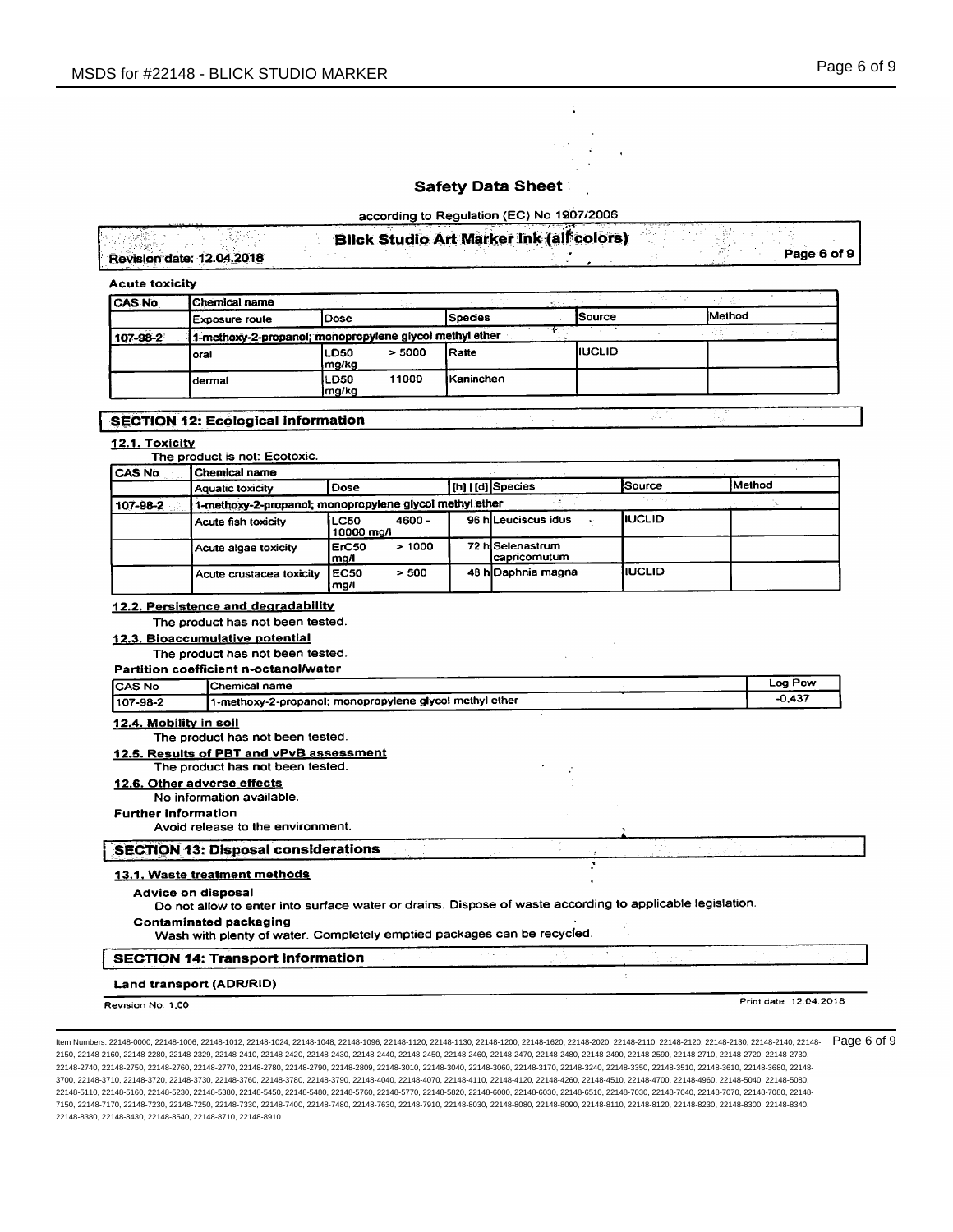

according to Regulation (EC) No 1907/2006

|                           | <b>Blick Studio Art Marker Ink (all colors)</b> |               |
|---------------------------|-------------------------------------------------|---------------|
| Revision date: 12.04.2018 |                                                 | Page 6 of 9 i |

| <b>Acute toxicity</b> |  |
|-----------------------|--|
|-----------------------|--|

| <b>CAS No</b> | Chemical name                                           |                       |        |                   |                |               |
|---------------|---------------------------------------------------------|-----------------------|--------|-------------------|----------------|---------------|
|               | Exposure route                                          | <b>IDose</b>          |        | lSpecies          | <b>Source</b>  | <b>Method</b> |
| 107-98-2      | 1-methoxy-2-propanol; monopropylene glycol methyl ether |                       |        |                   |                |               |
|               | loral                                                   | <b>LD50</b><br>lmg/kg | > 5000 | <b>IRatte</b>     | <b>IIUCLID</b> |               |
|               | ldermal                                                 | LD50<br>Ima/ka        | 1000   | <b>IKaninchen</b> |                |               |

# **SECTION 12: Ecological Information**

## 12.1. Toxicity

|          | The product is not: Ecotoxic.                           |                              |          |  |                                  |         |          |  |  |
|----------|---------------------------------------------------------|------------------------------|----------|--|----------------------------------|---------|----------|--|--|
| CAS No   | Chemical name                                           |                              |          |  |                                  |         |          |  |  |
|          | <b>Aquatic toxicity</b>                                 | Dose                         |          |  | [h] [d] Species                  | Source  | İMethod  |  |  |
| 107-98-2 | 1-methoxy-2-propanol; monopropylene glycol methyl ether |                              |          |  |                                  |         | -11 - B  |  |  |
|          | Acute fish toxicity                                     | LC50<br>$10000 \text{ mg/l}$ | $4600 -$ |  | 96 hiLeuciscus idus              | IIUCLID |          |  |  |
|          | Acute algae toxicity                                    | ErC50<br>mg/l                | >1000    |  | 72 hiSelenastrum<br>capricomutum |         |          |  |  |
|          | Acute crustacea toxicity                                | <b>EC50</b><br>mg/l          | > 500    |  | 48 h Daphnia magna               | IIUCLID |          |  |  |
|          | 12.2. Persistence and degradability                     |                              |          |  |                                  |         |          |  |  |
|          | The product has not been tested.                        |                              |          |  |                                  |         |          |  |  |
|          | 12.3. Bioaccumulative potential                         |                              |          |  |                                  |         |          |  |  |
|          | The product has not been tested.                        |                              |          |  |                                  |         |          |  |  |
|          | Partition coefficient n-octanol/water                   |                              |          |  |                                  |         |          |  |  |
| ICAS No  | Chemical name                                           |                              |          |  |                                  |         | Log Pow  |  |  |
| 107-98-2 | 1-methoxy-2-propanol; monopropylene glycol methyl ether |                              |          |  |                                  |         | $-0.437$ |  |  |

## 12.4. Mobility in soil

The product has not been tested.

## 12.5. Results of PBT and vPvB assessment

# The product has not been tested.

12.6. Other adverse effects No information available.

### **Further information**

Avoid release to the environment.

### **SECTION 13: Disposal considerations**

### 13.1. Waste treatment methods

Advice on disposal

Do not allow to enter into surface water or drains. Dispose of waste according to applicable legislation.

### **Contaminated packaging**

Wash with plenty of water. Completely emptied packages can be recycled.

## **SECTION 14: Transport Information**

## Land transport (ADR/RID)

Revision No: 1,00

Print date: 12.04.2018

÷.

Item Numbers: 22148-0000, 22148-1006, 22148-1012, 22148-1024, 22148-1048, 22148-1096, 22148-1120, 22148-1130, 22148-1000, 22148-1620, 22148-200, 22148-2110, 22148-2120, 22148-2120, 22148-2120, 22148-2130, 22148-2130, 22148 2150, 22148-2160, 22148-2280, 22148-2329, 22148-2410, 22148-2420, 22148-2430, 22148-2440, 22148-2450, 22148-2460, 22148-2470, 22148-2480, 22148-2490, 22148-2590, 22148-2590, 22148-2590, 22148-2710, 22148-2720, 22148-2710, 2 22148-2740, 22148-2750, 22148-2760, 22148-2770, 22148-2780, 22148-2790, 22148-2809, 22148-3010, 22148-3040, 22148-300, 22148-3170, 22148-3240, 22148-3350, 22148-3510, 22148-3610, 22148-3610, 22148-3610, 22148-380, 22148-351 3700, 22148-3710, 22148-3720, 22148-3730, 22148-3760, 22148-3780, 22148-3790, 22148-4040, 22148-4070, 22148-4110, 22148-4120, 22148-4260, 22148-4510, 22148-4700, 22148-4700, 22148-470, 22148-4960, 22148-4960, 22148-490, 221 22148-5110, 22148-5160, 22148-5280, 22148-5380, 22148-5450, 22148-5480, 22148-5760, 22148-5770, 22148-580, 22148-6030, 22148-6030, 22148-6510, 22148-7030, 22148-7040, 22148-7070, 22148-7070, 22148-7080, 22148-7080, 22148-70 7150, 22148-7170, 22148-7230, 22148-7250, 22148-7330, 22148-7400, 22148-7480, 22148-7630, 22148-7910, 22148-8030, 22148-8080, 22148-8090, 22148-8110, 22148-8120, 22148-8230, 22148-8230, 22148-8230, 22148-8230, 22148-8230, 2 22148-8380, 22148-8430, 22148-8540, 22148-8710, 22148-8910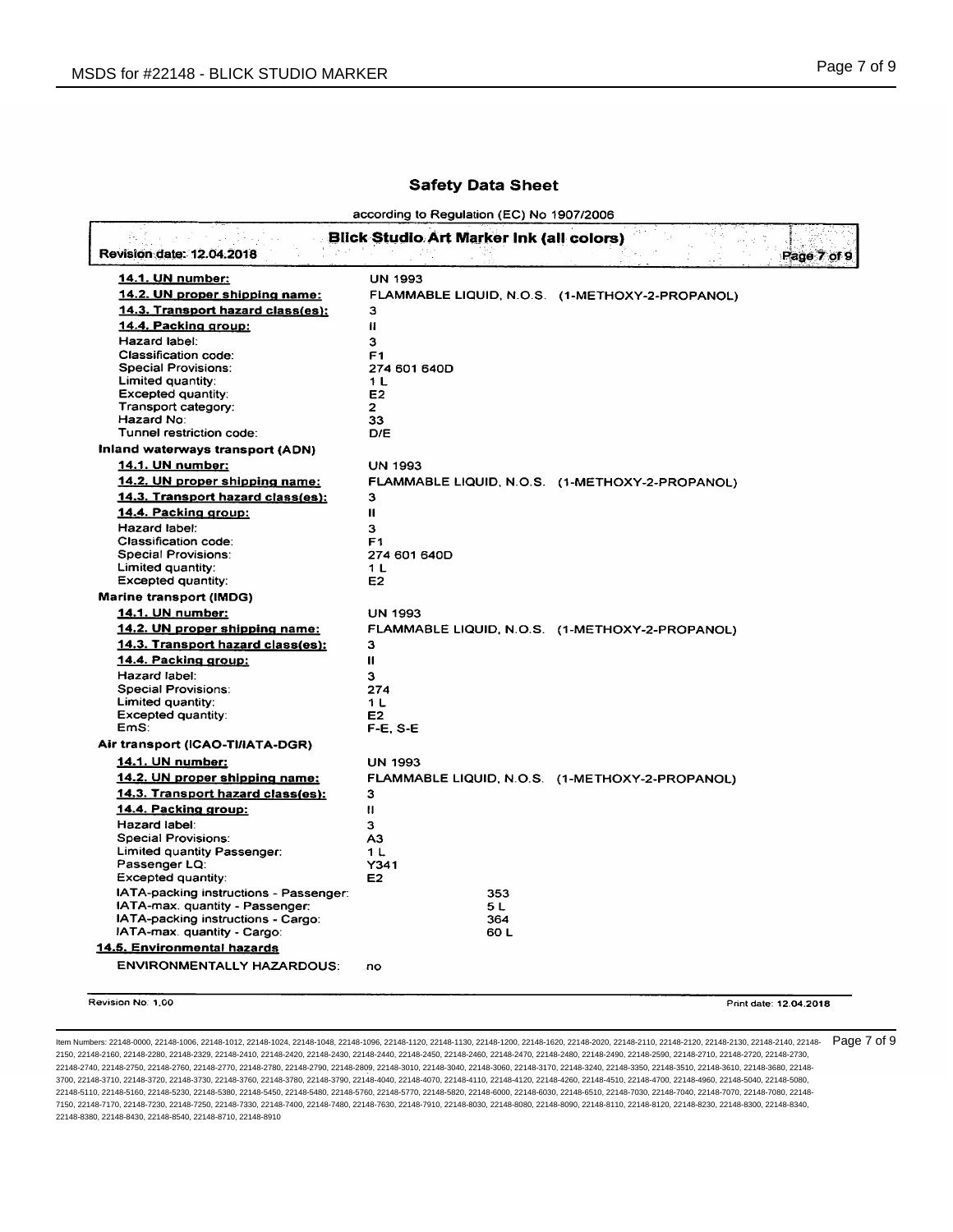according to Regulation (EC) No 1907/2006

| <b>14.1. UN number:</b>                          | <b>UN 1993</b>        |                                                 |
|--------------------------------------------------|-----------------------|-------------------------------------------------|
| 14.2. UN proper shipping name:                   |                       | FLAMMABLE LIQUID, N.O.S. (1-METHOXY-2-PROPANOL) |
| 14.3. Transport hazard class(es):                | з                     |                                                 |
| 14.4. Packing group:                             | $\mathbf{H}$          |                                                 |
| Hazard label:                                    | 3                     |                                                 |
| Classification code:                             | F <sub>1</sub>        |                                                 |
| <b>Special Provisions:</b>                       | 274 601 640D          |                                                 |
| Limited quantity:                                | 1 L<br>E <sub>2</sub> |                                                 |
| <b>Excepted quantity:</b><br>Transport category: | $\overline{2}$        |                                                 |
| Hazard No:                                       | 33                    |                                                 |
| Tunnel restriction code:                         | D/E                   |                                                 |
| Inland waterways transport (ADN)                 |                       |                                                 |
| 14.1. UN number:                                 | <b>UN 1993</b>        |                                                 |
| 14.2. UN proper shipping name:                   |                       | FLAMMABLE LIQUID, N.O.S. (1-METHOXY-2-PROPANOL) |
| 14.3. Transport hazard class(es):                | 3                     |                                                 |
| 14.4. Packing group:                             | $\mathbf{II}$         |                                                 |
| Hazard label:                                    | 3                     |                                                 |
| Classification code:                             | F <sub>1</sub>        |                                                 |
| Special Provisions:                              | 274 601 640D          |                                                 |
| Limited quantity:                                | 1 L                   |                                                 |
| <b>Excepted quantity:</b>                        | E <sub>2</sub>        |                                                 |
| Marine transport (IMDG)                          |                       |                                                 |
| 14.1. UN number:                                 | <b>UN 1993</b>        |                                                 |
| 14.2. UN proper shipping name:                   |                       | FLAMMABLE LIQUID, N.O.S. (1-METHOXY-2-PROPANOL) |
| 14.3. Transport hazard class(es):                | 3                     |                                                 |
| 14.4. Packing group:                             | $\mathbf{H}$          |                                                 |
| Hazard label:                                    | 3                     |                                                 |
| <b>Special Provisions:</b>                       | 274                   |                                                 |
| Limited quantity:<br><b>Excepted quantity:</b>   | 1 L<br>E <sub>2</sub> |                                                 |
| EmS:                                             | $F-E. S-E$            |                                                 |
| Air transport (ICAO-TI/IATA-DGR)                 |                       |                                                 |
| 14.1. UN number:                                 | <b>UN 1993</b>        |                                                 |
| 14.2. UN proper shipping name:                   |                       | FLAMMABLE LIQUID, N.O.S. (1-METHOXY-2-PROPANOL) |
| 14.3. Transport hazard class(es):                | 3                     |                                                 |
| 14.4. Packing group:                             | Ħ                     |                                                 |
| Hazard label:                                    | 3                     |                                                 |
| <b>Special Provisions:</b>                       | A3                    |                                                 |
| Limited quantity Passenger:                      | 1 L                   |                                                 |
| Passenger LQ:                                    | Y341                  |                                                 |
| Excepted quantity:                               | E <sub>2</sub>        |                                                 |
| IATA-packing instructions - Passenger:           | 353                   |                                                 |
| IATA-max. quantity - Passenger:                  | 5 L                   |                                                 |
| IATA-packing instructions - Cargo:               | 364<br>60 L           |                                                 |
| IATA-max. quantity - Cargo:                      |                       |                                                 |
| 14.5. Environmental hazards                      |                       |                                                 |
| <b>ENVIRONMENTALLY HAZARDOUS:</b>                | no                    |                                                 |

ltem Numbers: 22148-0000, 22148-1006, 22148-1012, 22148-1024, 22148-1048, 22148-1096, 22148-1120, 22148-1130, 22148-1600, 22148-1620, 22148-2020, 22148-2110, 22148-2120, 22148-2130, 22148-2130, 22148-2140, 22148-2130, 2214 2150, 22148-2160, 22148-2280, 22148-2329, 22148-2410, 22148-2420, 22148-2430, 22148-2440, 22148-2450, 22148-2460, 22148-2470, 22148-2480, 22148-2490, 22148-2590, 22148-2710, 22148-2720, 22148-2730, 22148-2740, 22148-2750, 22148-2760, 22148-2770, 22148-2780, 22148-2790, 22148-2809, 22148-3010, 22148-3040, 22148-3060, 22148-3170, 22148-3240, 22148-3350, 22148-3510, 22148-3610, 22148-3680, 22148- 3700, 22148-3710, 22148-3720, 22148-3730, 22148-3760, 22148-3780, 22148-3790, 22148-4040, 22148-4070, 22148-4110, 22148-4120, 22148-4260, 22148-4510, 22148-4700, 22148-4960, 22148-5040, 22148-5080, 22148-5110, 22148-5160, 22148-5230, 22148-5380, 22148-5450, 22148-5480, 22148-5760, 22148-5770, 22148-5820, 22148-6000, 22148-6030, 22148-6510, 22148-7030, 22148-7040, 22148-7070, 22148-7080, 22148- 7150, 22148-7170, 22148-7230, 22148-7250, 22148-7330, 22148-7400, 22148-7480, 22148-7630, 22148-7910, 22148-8030, 22148-8080, 22148-8090, 22148-8110, 22148-8120, 22148-8230, 22148-8300, 22148-8340, 22148-8380, 22148-8430, 22148-8540, 22148-8710, 22148-8910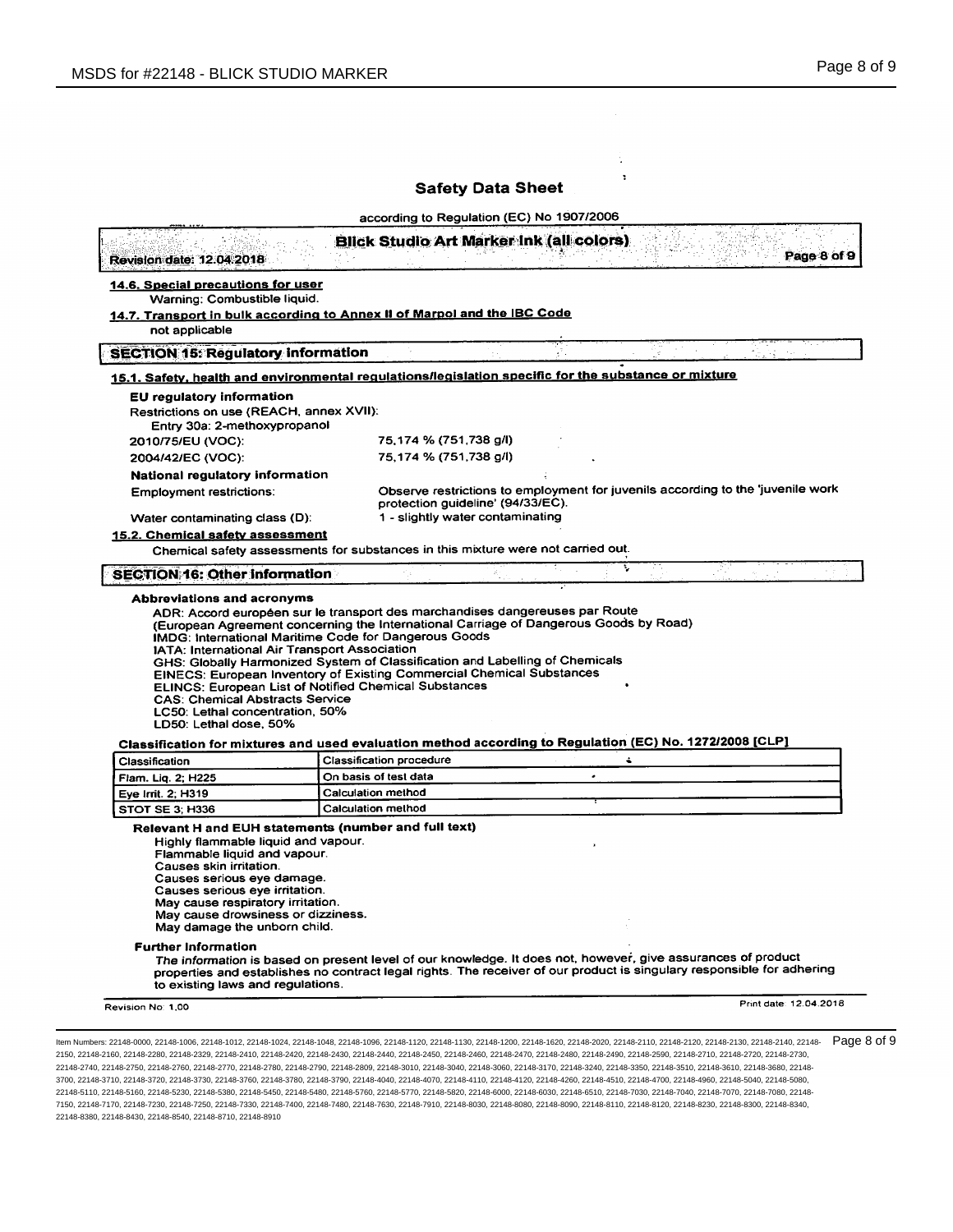|                                                                                                                                                                                                                                                                                                                                                       | according to Regulation (EC) No 1907/2006                                                                            |                  |             |
|-------------------------------------------------------------------------------------------------------------------------------------------------------------------------------------------------------------------------------------------------------------------------------------------------------------------------------------------------------|----------------------------------------------------------------------------------------------------------------------|------------------|-------------|
| <b>Revision date: 12.04.2018</b>                                                                                                                                                                                                                                                                                                                      | <b>Blick Studio Art Marker Ink (all colors)</b>                                                                      |                  | Page 8 of 9 |
| 14.6. Special precautions for user                                                                                                                                                                                                                                                                                                                    |                                                                                                                      |                  |             |
| Warning: Combustible liquid.<br>14.7. Transport in bulk according to Annex II of Marpol and the IBC Code                                                                                                                                                                                                                                              |                                                                                                                      |                  |             |
| not applicable                                                                                                                                                                                                                                                                                                                                        |                                                                                                                      |                  |             |
| <b>SECTION 15: Regulatory information</b>                                                                                                                                                                                                                                                                                                             |                                                                                                                      |                  |             |
| 15.1. Safety, health and environmental regulations/legislation specific for the substance or mixture                                                                                                                                                                                                                                                  |                                                                                                                      |                  |             |
| <b>EU</b> regulatory information                                                                                                                                                                                                                                                                                                                      |                                                                                                                      |                  |             |
| Restrictions on use (REACH, annex XVII):                                                                                                                                                                                                                                                                                                              |                                                                                                                      |                  |             |
| Entry 30a: 2-methoxypropanol                                                                                                                                                                                                                                                                                                                          | 75,174 % (751,738 g/l)                                                                                               |                  |             |
| 2010/75/EU (VOC):<br>2004/42/EC (VOC):                                                                                                                                                                                                                                                                                                                | 75,174 % (751,738 g/l)                                                                                               |                  |             |
| National regulatory information                                                                                                                                                                                                                                                                                                                       |                                                                                                                      |                  |             |
| <b>Employment restrictions:</b>                                                                                                                                                                                                                                                                                                                       | Observe restrictions to employment for juvenils according to the 'juvenile work<br>protection guideline' (94/33/EC). |                  |             |
| Water contaminating class (D):                                                                                                                                                                                                                                                                                                                        | 1 - slightly water contaminating                                                                                     |                  |             |
| 15.2. Chemical safety assessment                                                                                                                                                                                                                                                                                                                      |                                                                                                                      |                  |             |
| Chemical safety assessments for substances in this mixture were not carried out.                                                                                                                                                                                                                                                                      |                                                                                                                      |                  |             |
|                                                                                                                                                                                                                                                                                                                                                       |                                                                                                                      |                  |             |
| <b>SECTION 16: Other information</b><br>Abbreviations and acronyms<br>ADR: Accord européen sur le transport des marchandises dangereuses par Route<br>(European Agreement concerning the International Carriage of Dangerous Goods by Road)<br>IMDG: International Maritime Code for Dangerous Goods<br>IATA: International Air Transport Association |                                                                                                                      | ÷,               |             |
| GHS: Globally Harmonized System of Classification and Labelling of Chemicals<br>EINECS: European Inventory of Existing Commercial Chemical Substances<br><b>ELINCS: European List of Notified Chemical Substances</b><br><b>CAS: Chemical Abstracts Service</b><br>LC50: Lethal concentration, 50%                                                    |                                                                                                                      |                  |             |
| LD50: Lethal dose, 50%                                                                                                                                                                                                                                                                                                                                |                                                                                                                      |                  |             |
| Classification for mixtures and used evaluation method according to Regulation (EC) No. 1272/2008 [CLP]                                                                                                                                                                                                                                               |                                                                                                                      |                  |             |
| Classification                                                                                                                                                                                                                                                                                                                                        | <b>Classification procedure</b>                                                                                      | $\ddot{\bullet}$ |             |
| Flam. Liq. 2; H225                                                                                                                                                                                                                                                                                                                                    | On basis of test data                                                                                                |                  |             |
| Eye Irrit. 2; H319<br>STOT SE 3; H336                                                                                                                                                                                                                                                                                                                 | Calculation method<br>Calculation method                                                                             |                  |             |
| Relevant H and EUH statements (number and full text)<br>Highly flammable liquid and vapour.<br>Flammable liquid and vapour.<br>Causes skin irritation.<br>Causes serious eye damage.<br>Causes serious eye irritation.<br>May cause respiratory irritation.<br>May cause drowsiness or dizziness.<br>May damage the unborn child.                     |                                                                                                                      |                  |             |
| <b>Further Information</b><br>The information is based on present level of our knowledge. It does not, however, give assurances of product<br>properties and establishes no contract legal rights. The receiver of our product is singulary responsible for adhering<br>to existing laws and regulations.                                             |                                                                                                                      |                  |             |

2150, 22148-2160, 22148-2280, 22148-2329, 22148-2410, 22148-2420, 22148-2430, 22148-2440, 22148-2450, 22148-2460, 22148-2470, 22148-2480, 22148-2490, 22148-2590, 22148-2710, 22148-2720, 22148-2730, 22148-2740, 22148-2750, 22148-2760, 22148-2770, 22148-2780, 22148-2790, 22148-2809, 22148-3010, 22148-3040, 22148-3060, 22148-3170, 22148-3240, 22148-3350, 22148-3510, 22148-3610, 22148-3680, 22148- 3700, 22148-3710, 22148-3720, 22148-3730, 22148-3760, 22148-3780, 22148-3790, 22148-4040, 22148-4070, 22148-4110, 22148-4120, 22148-4260, 22148-4510, 22148-4700, 22148-4960, 22148-5040, 22148-5080, 22148-5110, 22148-5160, 22148-5230, 22148-5380, 22148-5450, 22148-5480, 22148-5760, 22148-5770, 22148-5820, 22148-6000, 22148-6030, 22148-6510, 22148-7030, 22148-7040, 22148-7070, 22148-7080, 22148- 7150, 22148-7170, 22148-7230, 22148-7250, 22148-7330, 22148-7400, 22148-7480, 22148-7630, 22148-7910, 22148-8030, 22148-8080, 22148-8090, 22148-8110, 22148-8120, 22148-8230, 22148-8300, 22148-8340, 22148-8380, 22148-8430, 22148-8540, 22148-8710, 22148-8910